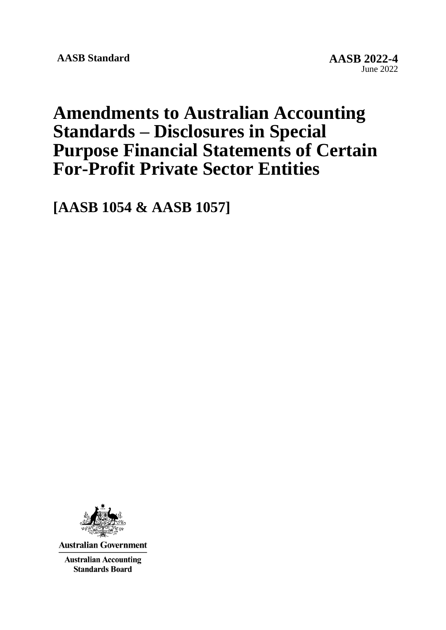# **Amendments to Australian Accounting Standards – Disclosures in Special Purpose Financial Statements of Certain For-Profit Private Sector Entities**

**[AASB 1054 & AASB 1057]**



**Australian Government** 

**Australian Accounting Standards Board**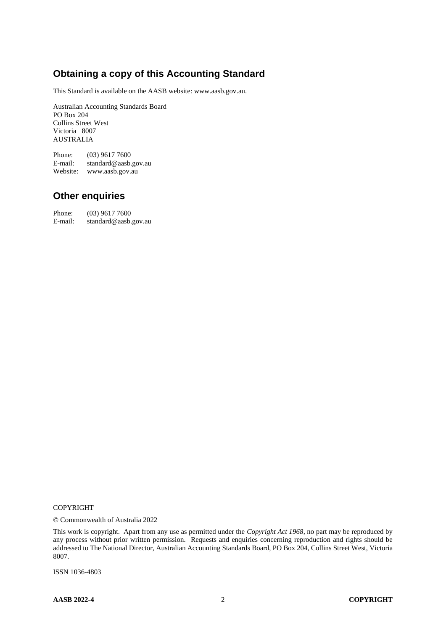# **Obtaining a copy of this Accounting Standard**

This Standard is available on the AASB website: www.aasb.gov.au.

Australian Accounting Standards Board PO Box 204 Collins Street West Victoria 8007 AUSTRALIA

Phone: (03) 9617 7600 E-mail: standard@aasb.gov.au Website: www.aasb.gov.au

#### **Other enquiries**

Phone: (03) 9617 7600<br>E-mail: standard@aasb. standard@aasb.gov.au

#### COPYRIGHT

© Commonwealth of Australia 2022

This work is copyright. Apart from any use as permitted under the *Copyright Act 1968*, no part may be reproduced by any process without prior written permission. Requests and enquiries concerning reproduction and rights should be addressed to The National Director, Australian Accounting Standards Board, PO Box 204, Collins Street West, Victoria 8007.

ISSN 1036-4803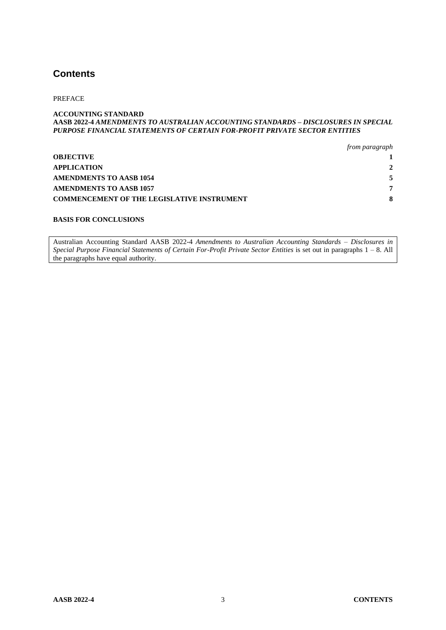#### **Contents**

#### PREFACE

#### **ACCOUNTING STANDARD AASB 2022-4** *AMENDMENTS TO AUSTRALIAN ACCOUNTING STANDARDS – DISCLOSURES IN SPECIAL PURPOSE FINANCIAL STATEMENTS OF CERTAIN FOR-PROFIT PRIVATE SECTOR ENTITIES*

|                                                   | from paragraph |
|---------------------------------------------------|----------------|
| <b>OBJECTIVE</b>                                  |                |
| <b>APPLICATION</b>                                | 2              |
| AMENDMENTS TO AASB 1054                           |                |
| <b>AMENDMENTS TO AASB 1057</b>                    | 7              |
| <b>COMMENCEMENT OF THE LEGISLATIVE INSTRUMENT</b> |                |

#### **BASIS FOR CONCLUSIONS**

Australian Accounting Standard AASB 2022-4 *Amendments to Australian Accounting Standards – Disclosures in Special Purpose Financial Statements of Certain For-Profit Private Sector Entities* is set out in paragraphs 1 – 8. All the paragraphs have equal authority.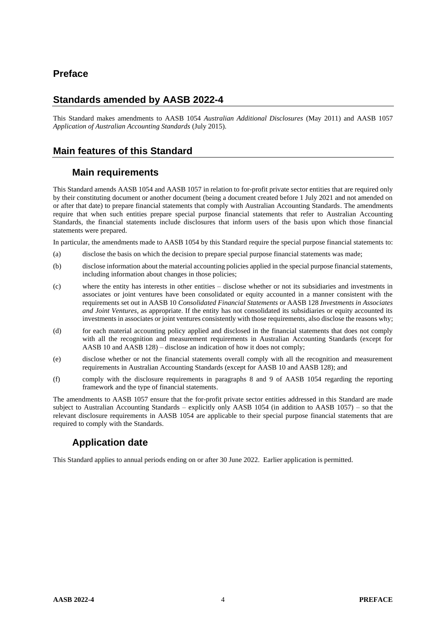#### **Preface**

#### **Standards amended by AASB 2022-4**

This Standard makes amendments to AASB 1054 *Australian Additional Disclosures* (May 2011) and AASB 1057 *Application of Australian Accounting Standards* (July 2015).

#### **Main features of this Standard**

#### **Main requirements**

This Standard amends AASB 1054 and AASB 1057 in relation to for-profit private sector entities that are required only by their constituting document or another document (being a document created before 1 July 2021 and not amended on or after that date) to prepare financial statements that comply with Australian Accounting Standards. The amendments require that when such entities prepare special purpose financial statements that refer to Australian Accounting Standards, the financial statements include disclosures that inform users of the basis upon which those financial statements were prepared.

In particular, the amendments made to AASB 1054 by this Standard require the special purpose financial statements to:

- (a) disclose the basis on which the decision to prepare special purpose financial statements was made;
- (b) disclose information about the material accounting policies applied in the special purpose financial statements, including information about changes in those policies;
- (c) where the entity has interests in other entities disclose whether or not its subsidiaries and investments in associates or joint ventures have been consolidated or equity accounted in a manner consistent with the requirements set out in AASB 10 *Consolidated Financial Statements* or AASB 128 *Investments in Associates and Joint Ventures*, as appropriate. If the entity has not consolidated its subsidiaries or equity accounted its investments in associates or joint ventures consistently with those requirements, also disclose the reasons why;
- (d) for each material accounting policy applied and disclosed in the financial statements that does not comply with all the recognition and measurement requirements in Australian Accounting Standards (except for AASB 10 and AASB 128) – disclose an indication of how it does not comply;
- (e) disclose whether or not the financial statements overall comply with all the recognition and measurement requirements in Australian Accounting Standards (except for AASB 10 and AASB 128); and
- (f) comply with the disclosure requirements in paragraphs 8 and 9 of AASB 1054 regarding the reporting framework and the type of financial statements.

The amendments to AASB 1057 ensure that the for-profit private sector entities addressed in this Standard are made subject to Australian Accounting Standards – explicitly only AASB 1054 (in addition to AASB 1057) – so that the relevant disclosure requirements in AASB 1054 are applicable to their special purpose financial statements that are required to comply with the Standards.

# **Application date**

This Standard applies to annual periods ending on or after 30 June 2022. Earlier application is permitted.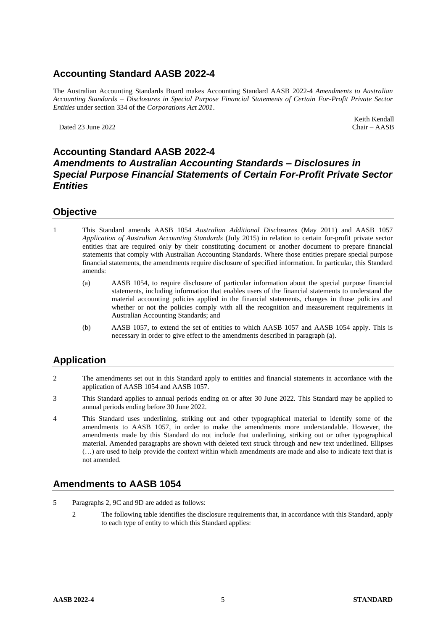# **Accounting Standard AASB 2022-4**

The Australian Accounting Standards Board makes Accounting Standard AASB 2022-4 *Amendments to Australian Accounting Standards – Disclosures in Special Purpose Financial Statements of Certain For-Profit Private Sector Entities* under section 334 of the *Corporations Act 2001*.

Dated 23 June 2022

Keith Kendall<br>Chair - AASB

#### **Accounting Standard AASB 2022-4** *Amendments to Australian Accounting Standards – Disclosures in Special Purpose Financial Statements of Certain For-Profit Private Sector Entities*

#### **Objective**

- 1 This Standard amends AASB 1054 *Australian Additional Disclosures* (May 2011) and AASB 1057 *Application of Australian Accounting Standards* (July 2015) in relation to certain for-profit private sector entities that are required only by their constituting document or another document to prepare financial statements that comply with Australian Accounting Standards. Where those entities prepare special purpose financial statements, the amendments require disclosure of specified information. In particular, this Standard amends:
	- (a) AASB 1054, to require disclosure of particular information about the special purpose financial statements, including information that enables users of the financial statements to understand the material accounting policies applied in the financial statements, changes in those policies and whether or not the policies comply with all the recognition and measurement requirements in Australian Accounting Standards; and
	- (b) AASB 1057, to extend the set of entities to which AASB 1057 and AASB 1054 apply. This is necessary in order to give effect to the amendments described in paragraph (a).

#### **Application**

- 2 The amendments set out in this Standard apply to entities and financial statements in accordance with the application of AASB 1054 and AASB 1057.
- 3 This Standard applies to annual periods ending on or after 30 June 2022. This Standard may be applied to annual periods ending before 30 June 2022.
- 4 This Standard uses underlining, striking out and other typographical material to identify some of the amendments to AASB 1057, in order to make the amendments more understandable. However, the amendments made by this Standard do not include that underlining, striking out or other typographical material. Amended paragraphs are shown with deleted text struck through and new text underlined. Ellipses (…) are used to help provide the context within which amendments are made and also to indicate text that is not amended.

#### **Amendments to AASB 1054**

- 5 Paragraphs 2, 9C and 9D are added as follows:
	- 2 The following table identifies the disclosure requirements that, in accordance with this Standard, apply to each type of entity to which this Standard applies: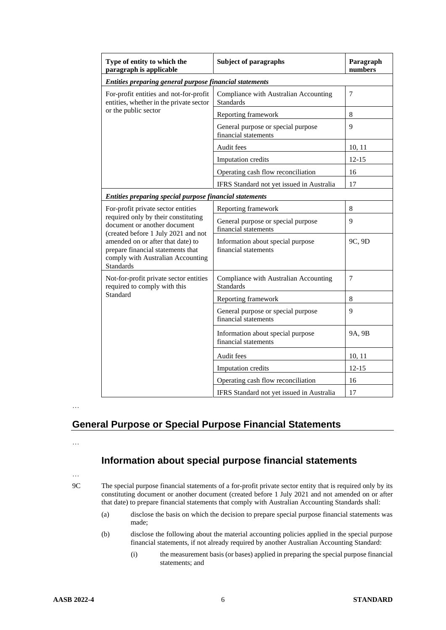| Type of entity to which the<br>paragraph is applicable                                                                                                                                                                                        | <b>Subject of paragraphs</b>                               | Paragraph<br>numbers |  |  |
|-----------------------------------------------------------------------------------------------------------------------------------------------------------------------------------------------------------------------------------------------|------------------------------------------------------------|----------------------|--|--|
| Entities preparing general purpose financial statements                                                                                                                                                                                       |                                                            |                      |  |  |
| For-profit entities and not-for-profit<br>entities, whether in the private sector                                                                                                                                                             | Compliance with Australian Accounting<br><b>Standards</b>  | $\tau$               |  |  |
| or the public sector                                                                                                                                                                                                                          | Reporting framework                                        | 8                    |  |  |
|                                                                                                                                                                                                                                               | General purpose or special purpose<br>financial statements | 9                    |  |  |
|                                                                                                                                                                                                                                               | Audit fees                                                 | 10, 11               |  |  |
|                                                                                                                                                                                                                                               | <b>Imputation</b> credits                                  | $12 - 15$            |  |  |
|                                                                                                                                                                                                                                               | Operating cash flow reconciliation                         | 16                   |  |  |
|                                                                                                                                                                                                                                               | IFRS Standard not yet issued in Australia                  | 17                   |  |  |
| Entities preparing special purpose financial statements                                                                                                                                                                                       |                                                            |                      |  |  |
| For-profit private sector entities                                                                                                                                                                                                            | Reporting framework                                        | 8                    |  |  |
| required only by their constituting<br>document or another document<br>(created before 1 July 2021 and not<br>amended on or after that date) to<br>prepare financial statements that<br>comply with Australian Accounting<br><b>Standards</b> | General purpose or special purpose<br>financial statements | 9                    |  |  |
|                                                                                                                                                                                                                                               | Information about special purpose<br>financial statements  | 9C, 9D               |  |  |
| Not-for-profit private sector entities<br>required to comply with this                                                                                                                                                                        | Compliance with Australian Accounting<br><b>Standards</b>  | $\overline{7}$       |  |  |
| Standard                                                                                                                                                                                                                                      | Reporting framework                                        | 8                    |  |  |
|                                                                                                                                                                                                                                               | General purpose or special purpose<br>financial statements | 9                    |  |  |
|                                                                                                                                                                                                                                               | Information about special purpose<br>financial statements  | 9A, 9B               |  |  |
|                                                                                                                                                                                                                                               | Audit fees                                                 | 10, 11               |  |  |
|                                                                                                                                                                                                                                               | Imputation credits                                         | $12 - 15$            |  |  |
|                                                                                                                                                                                                                                               | Operating cash flow reconciliation                         | 16                   |  |  |
|                                                                                                                                                                                                                                               | IFRS Standard not yet issued in Australia                  | 17                   |  |  |

…

# **General Purpose or Special Purpose Financial Statements**

…

# **Information about special purpose financial statements**

…

9C The special purpose financial statements of a for-profit private sector entity that is required only by its constituting document or another document (created before 1 July 2021 and not amended on or after that date) to prepare financial statements that comply with Australian Accounting Standards shall:

- (a) disclose the basis on which the decision to prepare special purpose financial statements was made;
- (b) disclose the following about the material accounting policies applied in the special purpose financial statements, if not already required by another Australian Accounting Standard:
	- (i) the measurement basis (or bases) applied in preparing the special purpose financial statements; and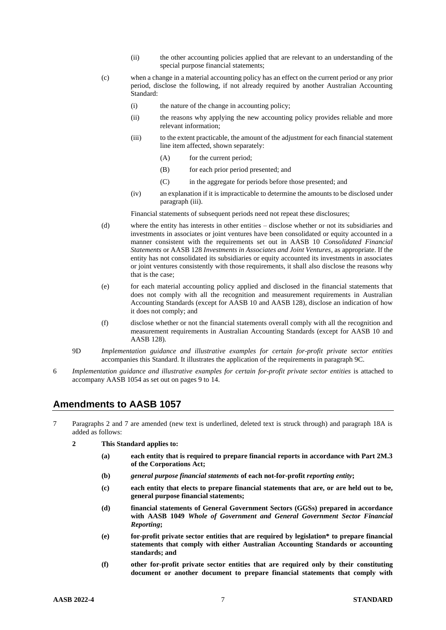- (ii) the other accounting policies applied that are relevant to an understanding of the special purpose financial statements;
- (c) when a change in a material accounting policy has an effect on the current period or any prior period, disclose the following, if not already required by another Australian Accounting Standard:
	- (i) the nature of the change in accounting policy;
	- (ii) the reasons why applying the new accounting policy provides reliable and more relevant information;
	- (iii) to the extent practicable, the amount of the adjustment for each financial statement line item affected, shown separately:
		- (A) for the current period;
		- (B) for each prior period presented; and
		- (C) in the aggregate for periods before those presented; and
	- (iv) an explanation if it is impracticable to determine the amounts to be disclosed under paragraph (iii).

Financial statements of subsequent periods need not repeat these disclosures;

- (d) where the entity has interests in other entities disclose whether or not its subsidiaries and investments in associates or joint ventures have been consolidated or equity accounted in a manner consistent with the requirements set out in AASB 10 *Consolidated Financial Statements* or AASB 128 *Investments in Associates and Joint Ventures*, as appropriate. If the entity has not consolidated its subsidiaries or equity accounted its investments in associates or joint ventures consistently with those requirements, it shall also disclose the reasons why that is the case;
- (e) for each material accounting policy applied and disclosed in the financial statements that does not comply with all the recognition and measurement requirements in Australian Accounting Standards (except for AASB 10 and AASB 128), disclose an indication of how it does not comply; and
- (f) disclose whether or not the financial statements overall comply with all the recognition and measurement requirements in Australian Accounting Standards (except for AASB 10 and AASB 128).
- 9D *Implementation guidance and illustrative examples for certain for-profit private sector entities* accompanies this Standard. It illustrates the application of the requirements in paragraph 9C.
- 6 *Implementation guidance and illustrative examples for certain for-profit private sector entities* is attached to accompany AASB 1054 as set out on pages 9 to 14.

#### **Amendments to AASB 1057**

- 7 Paragraphs 2 and 7 are amended (new text is underlined, deleted text is struck through) and paragraph 18A is added as follows:
	- **2 This Standard applies to:** 
		- **(a) each entity that is required to prepare financial reports in accordance with Part 2M.3 of the Corporations Act;**
		- **(b)** *general purpose financial statements* **of each not-for-profit** *reporting entity***;**
		- **(c) each entity that elects to prepare financial statements that are, or are held out to be, general purpose financial statements;**
		- **(d) financial statements of General Government Sectors (GGSs) prepared in accordance with AASB 1049** *Whole of Government and General Government Sector Financial Reporting***;**
		- **(e) for-profit private sector entities that are required by legislation\* to prepare financial statements that comply with either Australian Accounting Standards or accounting standards; and**
		- **(f) other for-profit private sector entities that are required only by their constituting document or another document to prepare financial statements that comply with**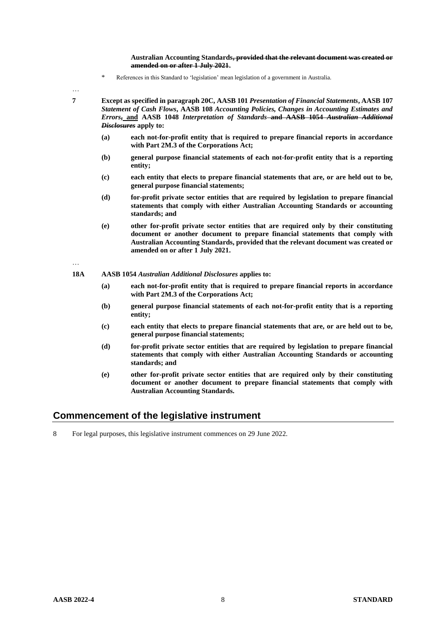**Australian Accounting Standards, provided that the relevant document was created or amended on or after 1 July 2021.** 

\* References in this Standard to 'legislation' mean legislation of a government in Australia.

…

**7 Except as specified in paragraph 20C, AASB 101** *Presentation of Financial Statements***, AASB 107**  *Statement of Cash Flows***, AASB 108** *Accounting Policies, Changes in Accounting Estimates and Errors***, and AASB 1048** *Interpretation of Standards* **and AASB 1054** *Australian Additional Disclosures* **apply to:** 

- **(a) each not-for-profit entity that is required to prepare financial reports in accordance with Part 2M.3 of the Corporations Act;**
- **(b) general purpose financial statements of each not-for-profit entity that is a reporting entity;**
- **(c) each entity that elects to prepare financial statements that are, or are held out to be, general purpose financial statements;**
- **(d) for-profit private sector entities that are required by legislation to prepare financial statements that comply with either Australian Accounting Standards or accounting standards; and**
- **(e) other for-profit private sector entities that are required only by their constituting document or another document to prepare financial statements that comply with Australian Accounting Standards, provided that the relevant document was created or amended on or after 1 July 2021.**

- **18A AASB 1054** *Australian Additional Disclosures* **applies to:**
	- **(a) each not-for-profit entity that is required to prepare financial reports in accordance with Part 2M.3 of the Corporations Act;**
	- **(b) general purpose financial statements of each not-for-profit entity that is a reporting entity;**
	- **(c) each entity that elects to prepare financial statements that are, or are held out to be, general purpose financial statements;**
	- **(d) for-profit private sector entities that are required by legislation to prepare financial statements that comply with either Australian Accounting Standards or accounting standards; and**
	- **(e) other for-profit private sector entities that are required only by their constituting document or another document to prepare financial statements that comply with Australian Accounting Standards.**

#### **Commencement of the legislative instrument**

8 For legal purposes, this legislative instrument commences on 29 June 2022.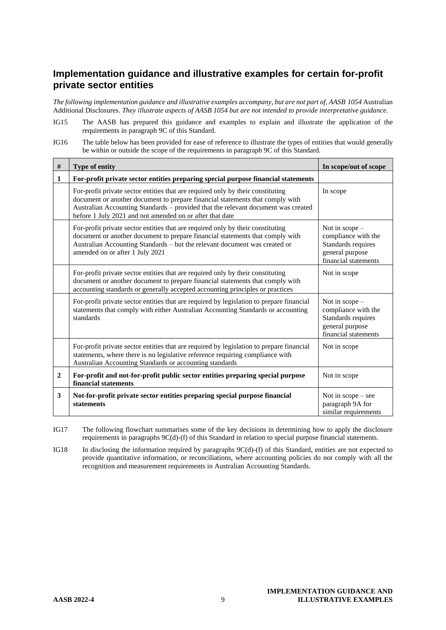#### **Implementation guidance and illustrative examples for certain for-profit private sector entities**

*The following implementation guidance and illustrative examples accompany, but are not part of, AASB 1054* Australian Additional Disclosures. *They illustrate aspects of AASB 1054 but are not intended to provide interpretative guidance.*

- IG15 The AASB has prepared this guidance and examples to explain and illustrate the application of the requirements in paragraph 9C of this Standard.
- IG16 The table below has been provided for ease of reference to illustrate the types of entities that would generally be within or outside the scope of the requirements in paragraph 9C of this Standard.

| $\#$           | Type of entity                                                                                                                                                                                                                                                                                                    | In scope/out of scope                                                                                   |
|----------------|-------------------------------------------------------------------------------------------------------------------------------------------------------------------------------------------------------------------------------------------------------------------------------------------------------------------|---------------------------------------------------------------------------------------------------------|
| 1              | For-profit private sector entities preparing special purpose financial statements                                                                                                                                                                                                                                 |                                                                                                         |
|                | For-profit private sector entities that are required only by their constituting<br>document or another document to prepare financial statements that comply with<br>Australian Accounting Standards - provided that the relevant document was created<br>before 1 July 2021 and not amended on or after that date | In scope                                                                                                |
|                | For-profit private sector entities that are required only by their constituting<br>document or another document to prepare financial statements that comply with<br>Australian Accounting Standards - but the relevant document was created or<br>amended on or after 1 July 2021                                 | Not in scope -<br>compliance with the<br>Standards requires<br>general purpose<br>financial statements  |
|                | For-profit private sector entities that are required only by their constituting<br>document or another document to prepare financial statements that comply with<br>accounting standards or generally accepted accounting principles or practices                                                                 | Not in scope                                                                                            |
|                | For-profit private sector entities that are required by legislation to prepare financial<br>statements that comply with either Australian Accounting Standards or accounting<br>standards                                                                                                                         | Not in $scope-$<br>compliance with the<br>Standards requires<br>general purpose<br>financial statements |
|                | For-profit private sector entities that are required by legislation to prepare financial<br>statements, where there is no legislative reference requiring compliance with<br>Australian Accounting Standards or accounting standards                                                                              | Not in scope                                                                                            |
| $\overline{2}$ | For-profit and not-for-profit public sector entities preparing special purpose<br>financial statements                                                                                                                                                                                                            | Not in scope                                                                                            |
| 3              | Not-for-profit private sector entities preparing special purpose financial<br><b>statements</b>                                                                                                                                                                                                                   | Not in $scope - see$<br>paragraph 9A for<br>similar requirements                                        |

IG17 The following flowchart summarises some of the key decisions in determining how to apply the disclosure requirements in paragraphs 9C(d)-(f) of this Standard in relation to special purpose financial statements.

IG18 In disclosing the information required by paragraphs 9C(d)-(f) of this Standard, entities are not expected to provide quantitative information, or reconciliations, where accounting policies do not comply with all the recognition and measurement requirements in Australian Accounting Standards.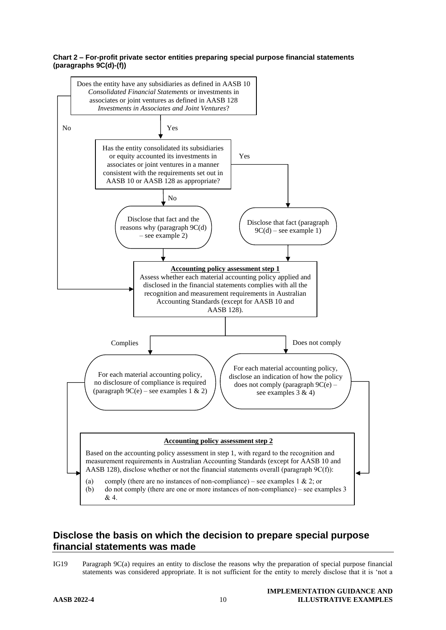#### **Chart 2 – For-profit private sector entities preparing special purpose financial statements (paragraphs 9C(d)-(f))**



#### **Disclose the basis on which the decision to prepare special purpose financial statements was made**

IG19 Paragraph 9C(a) requires an entity to disclose the reasons why the preparation of special purpose financial statements was considered appropriate. It is not sufficient for the entity to merely disclose that it is 'not a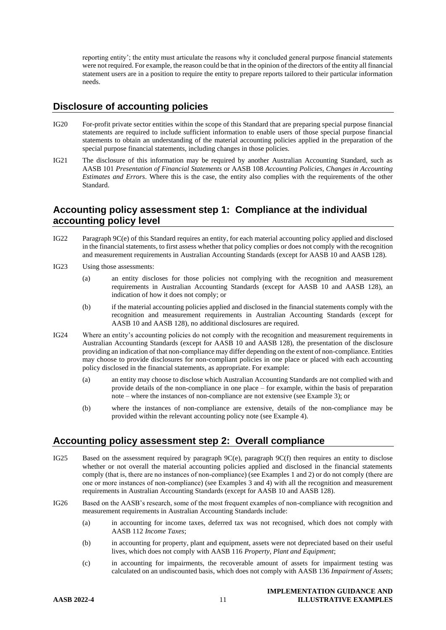reporting entity'; the entity must articulate the reasons why it concluded general purpose financial statements were not required. For example, the reason could be that in the opinion of the directors of the entity all financial statement users are in a position to require the entity to prepare reports tailored to their particular information needs.

#### **Disclosure of accounting policies**

- IG20 For-profit private sector entities within the scope of this Standard that are preparing special purpose financial statements are required to include sufficient information to enable users of those special purpose financial statements to obtain an understanding of the material accounting policies applied in the preparation of the special purpose financial statements, including changes in those policies.
- IG21 The disclosure of this information may be required by another Australian Accounting Standard, such as AASB 101 *Presentation of Financial Statements* or AASB 108 *Accounting Policies, Changes in Accounting Estimates and Errors*. Where this is the case, the entity also complies with the requirements of the other Standard.

#### **Accounting policy assessment step 1: Compliance at the individual accounting policy level**

- IG22 Paragraph 9C(e) of this Standard requires an entity, for each material accounting policy applied and disclosed in the financial statements, to first assess whether that policy complies or does not comply with the recognition and measurement requirements in Australian Accounting Standards (except for AASB 10 and AASB 128).
- IG23 Using those assessments:
	- (a) an entity discloses for those policies not complying with the recognition and measurement requirements in Australian Accounting Standards (except for AASB 10 and AASB 128), an indication of how it does not comply; or
	- (b) if the material accounting policies applied and disclosed in the financial statements comply with the recognition and measurement requirements in Australian Accounting Standards (except for AASB 10 and AASB 128), no additional disclosures are required.
- IG24 Where an entity's accounting policies do not comply with the recognition and measurement requirements in Australian Accounting Standards (except for AASB 10 and AASB 128), the presentation of the disclosure providing an indication of that non-compliance may differ depending on the extent of non-compliance. Entities may choose to provide disclosures for non-compliant policies in one place or placed with each accounting policy disclosed in the financial statements, as appropriate. For example:
	- (a) an entity may choose to disclose which Australian Accounting Standards are not complied with and provide details of the non-compliance in one place – for example, within the basis of preparation note – where the instances of non-compliance are not extensive (see Example 3); or
	- (b) where the instances of non-compliance are extensive, details of the non-compliance may be provided within the relevant accounting policy note (see Example 4).

#### **Accounting policy assessment step 2: Overall compliance**

- IG25 Based on the assessment required by paragraph 9C(e), paragraph 9C(f) then requires an entity to disclose whether or not overall the material accounting policies applied and disclosed in the financial statements comply (that is, there are no instances of non-compliance) (see Examples 1 and 2) or do not comply (there are one or more instances of non-compliance) (see Examples 3 and 4) with all the recognition and measurement requirements in Australian Accounting Standards (except for AASB 10 and AASB 128).
- IG26 Based on the AASB's research, some of the most frequent examples of non-compliance with recognition and measurement requirements in Australian Accounting Standards include:
	- (a) in accounting for income taxes, deferred tax was not recognised, which does not comply with AASB 112 *Income Taxes*;
	- (b) in accounting for property, plant and equipment, assets were not depreciated based on their useful lives, which does not comply with AASB 116 *Property, Plant and Equipment*;
	- (c) in accounting for impairments, the recoverable amount of assets for impairment testing was calculated on an undiscounted basis, which does not comply with AASB 136 *Impairment of Assets*;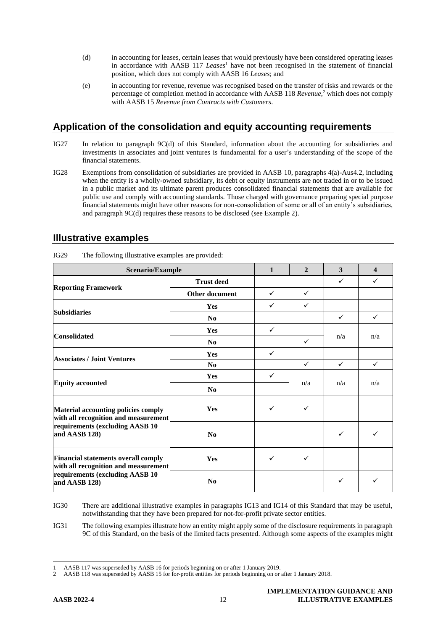- (d) in accounting for leases, certain leases that would previously have been considered operating leases in accordance with AASB 117 *Leases*<sup>1</sup> have not been recognised in the statement of financial position, which does not comply with AASB 16 *Leases*; and
- (e) in accounting for revenue, revenue was recognised based on the transfer of risks and rewards or the percentage of completion method in accordance with AASB 118 *Revenue*, <sup>2</sup> which does not comply with AASB 15 *Revenue from Contracts with Customers*.

#### **Application of the consolidation and equity accounting requirements**

- IG27 In relation to paragraph 9C(d) of this Standard, information about the accounting for subsidiaries and investments in associates and joint ventures is fundamental for a user's understanding of the scope of the financial statements.
- IG28 Exemptions from consolidation of subsidiaries are provided in AASB 10, paragraphs 4(a)-Aus4.2, including when the entity is a wholly-owned subsidiary, its debt or equity instruments are not traded in or to be issued in a public market and its ultimate parent produces consolidated financial statements that are available for public use and comply with accounting standards. Those charged with governance preparing special purpose financial statements might have other reasons for non-consolidation of some or all of an entity's subsidiaries, and paragraph 9C(d) requires these reasons to be disclosed (see Example 2).

| Scenario/Example                                                                   |                       |              | $\overline{2}$ | 3            | $\boldsymbol{\Delta}$ |
|------------------------------------------------------------------------------------|-----------------------|--------------|----------------|--------------|-----------------------|
|                                                                                    | <b>Trust deed</b>     |              |                | $\checkmark$ | $\checkmark$          |
| <b>Reporting Framework</b>                                                         | <b>Other document</b> | $\checkmark$ | $\checkmark$   |              |                       |
| <b>Subsidiaries</b>                                                                | Yes                   | ✓            | $\checkmark$   |              |                       |
|                                                                                    | No                    |              |                | $\checkmark$ | $\checkmark$          |
| <b>Consolidated</b>                                                                | Yes                   | $\checkmark$ |                | n/a          | n/a                   |
|                                                                                    | No                    |              | $\checkmark$   |              |                       |
| <b>Associates / Joint Ventures</b>                                                 | Yes                   | $\checkmark$ |                |              |                       |
|                                                                                    | N <sub>0</sub>        |              | $\checkmark$   | $\checkmark$ | $\checkmark$          |
| <b>Equity accounted</b>                                                            | Yes                   | $\checkmark$ |                | n/a          | n/a                   |
|                                                                                    | No                    |              | n/a            |              |                       |
| Material accounting policies comply<br>with all recognition and measurement        | <b>Yes</b>            | ✓            | $\checkmark$   |              |                       |
| requirements (excluding AASB 10<br>and AASB 128)                                   | No                    |              |                | ✓            | ✓                     |
| <b>Financial statements overall comply</b><br>with all recognition and measurement | <b>Yes</b>            | ✓            | $\checkmark$   |              |                       |
| requirements (excluding AASB 10<br>and AASB 128)                                   | N <sub>0</sub>        |              |                | $\checkmark$ | ✓                     |

IG29 The following illustrative examples are provided:

IG31 The following examples illustrate how an entity might apply some of the disclosure requirements in paragraph 9C of this Standard, on the basis of the limited facts presented. Although some aspects of the examples might

IG30 There are additional illustrative examples in paragraphs IG13 and IG14 of this Standard that may be useful, notwithstanding that they have been prepared for not-for-profit private sector entities.

<sup>1</sup> AASB 117 was superseded by AASB 16 for periods beginning on or after 1 January 2019.

<sup>2</sup> AASB 118 was superseded by AASB 15 for for-profit entities for periods beginning on or after 1 January 2018.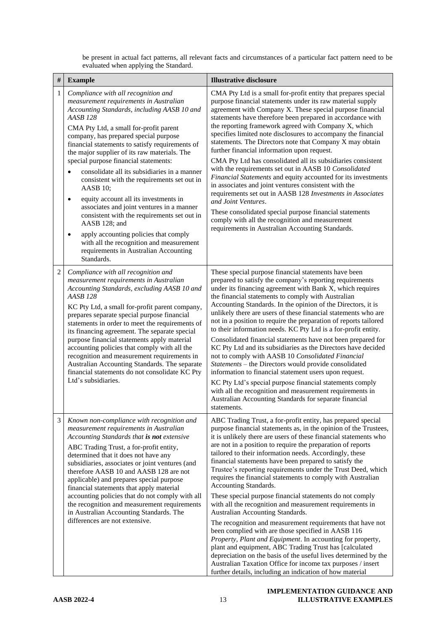be present in actual fact patterns, all relevant facts and circumstances of a particular fact pattern need to be evaluated when applying the Standard.

| $\#$         | <b>Example</b>                                                                                                                                                                                                                                                                                                                                                                                                                                                                                                                                                                                                                                                                                                                                                                                                                      | <b>Illustrative disclosure</b>                                                                                                                                                                                                                                                                                                                                                                                                                                                                                                                                                                                                                                                                                                                                                                                                                                                                                                                                                                                                                                                                                                                         |
|--------------|-------------------------------------------------------------------------------------------------------------------------------------------------------------------------------------------------------------------------------------------------------------------------------------------------------------------------------------------------------------------------------------------------------------------------------------------------------------------------------------------------------------------------------------------------------------------------------------------------------------------------------------------------------------------------------------------------------------------------------------------------------------------------------------------------------------------------------------|--------------------------------------------------------------------------------------------------------------------------------------------------------------------------------------------------------------------------------------------------------------------------------------------------------------------------------------------------------------------------------------------------------------------------------------------------------------------------------------------------------------------------------------------------------------------------------------------------------------------------------------------------------------------------------------------------------------------------------------------------------------------------------------------------------------------------------------------------------------------------------------------------------------------------------------------------------------------------------------------------------------------------------------------------------------------------------------------------------------------------------------------------------|
| $\mathbf{1}$ | Compliance with all recognition and<br>measurement requirements in Australian<br>Accounting Standards, including AASB 10 and<br><b>AASB 128</b><br>CMA Pty Ltd, a small for-profit parent<br>company, has prepared special purpose<br>financial statements to satisfy requirements of<br>the major supplier of its raw materials. The<br>special purpose financial statements:<br>consolidate all its subsidiaries in a manner<br>$\epsilon$<br>consistent with the requirements set out in<br>AASB 10;<br>equity account all its investments in<br>$\bullet$<br>associates and joint ventures in a manner<br>consistent with the requirements set out in<br>AASB 128; and<br>apply accounting policies that comply<br>$\bullet$<br>with all the recognition and measurement<br>requirements in Australian Accounting<br>Standards. | CMA Pty Ltd is a small for-profit entity that prepares special<br>purpose financial statements under its raw material supply<br>agreement with Company X. These special purpose financial<br>statements have therefore been prepared in accordance with<br>the reporting framework agreed with Company X, which<br>specifies limited note disclosures to accompany the financial<br>statements. The Directors note that Company X may obtain<br>further financial information upon request.<br>CMA Pty Ltd has consolidated all its subsidiaries consistent<br>with the requirements set out in AASB 10 Consolidated<br>Financial Statements and equity accounted for its investments<br>in associates and joint ventures consistent with the<br>requirements set out in AASB 128 Investments in Associates<br>and Joint Ventures.<br>These consolidated special purpose financial statements<br>comply with all the recognition and measurement<br>requirements in Australian Accounting Standards.                                                                                                                                                   |
| 2            | Compliance with all recognition and<br>measurement requirements in Australian<br>Accounting Standards, excluding AASB 10 and<br><b>AASB 128</b><br>KC Pty Ltd, a small for-profit parent company,<br>prepares separate special purpose financial<br>statements in order to meet the requirements of<br>its financing agreement. The separate special<br>purpose financial statements apply material<br>accounting policies that comply with all the<br>recognition and measurement requirements in<br>Australian Accounting Standards. The separate<br>financial statements do not consolidate KC Pty<br>Ltd's subsidiaries.                                                                                                                                                                                                        | These special purpose financial statements have been<br>prepared to satisfy the company's reporting requirements<br>under its financing agreement with Bank X, which requires<br>the financial statements to comply with Australian<br>Accounting Standards. In the opinion of the Directors, it is<br>unlikely there are users of these financial statements who are<br>not in a position to require the preparation of reports tailored<br>to their information needs. KC Pty Ltd is a for-profit entity.<br>Consolidated financial statements have not been prepared for<br>KC Pty Ltd and its subsidiaries as the Directors have decided<br>not to comply with AASB 10 Consolidated Financial<br>Statements - the Directors would provide consolidated<br>information to financial statement users upon request.<br>KC Pty Ltd's special purpose financial statements comply<br>with all the recognition and measurement requirements in<br>Australian Accounting Standards for separate financial<br>statements.                                                                                                                                  |
| 3            | Known non-compliance with recognition and<br>measurement requirements in Australian<br>Accounting Standards that is not extensive<br>ABC Trading Trust, a for-profit entity,<br>determined that it does not have any<br>subsidiaries, associates or joint ventures (and<br>therefore AASB 10 and AASB 128 are not<br>applicable) and prepares special purpose<br>financial statements that apply material<br>accounting policies that do not comply with all<br>the recognition and measurement requirements<br>in Australian Accounting Standards. The<br>differences are not extensive.                                                                                                                                                                                                                                           | ABC Trading Trust, a for-profit entity, has prepared special<br>purpose financial statements as, in the opinion of the Trustees,<br>it is unlikely there are users of these financial statements who<br>are not in a position to require the preparation of reports<br>tailored to their information needs. Accordingly, these<br>financial statements have been prepared to satisfy the<br>Trustee's reporting requirements under the Trust Deed, which<br>requires the financial statements to comply with Australian<br>Accounting Standards.<br>These special purpose financial statements do not comply<br>with all the recognition and measurement requirements in<br>Australian Accounting Standards.<br>The recognition and measurement requirements that have not<br>been complied with are those specified in AASB 116<br>Property, Plant and Equipment. In accounting for property,<br>plant and equipment, ABC Trading Trust has [calculated<br>depreciation on the basis of the useful lives determined by the<br>Australian Taxation Office for income tax purposes / insert<br>further details, including an indication of how material |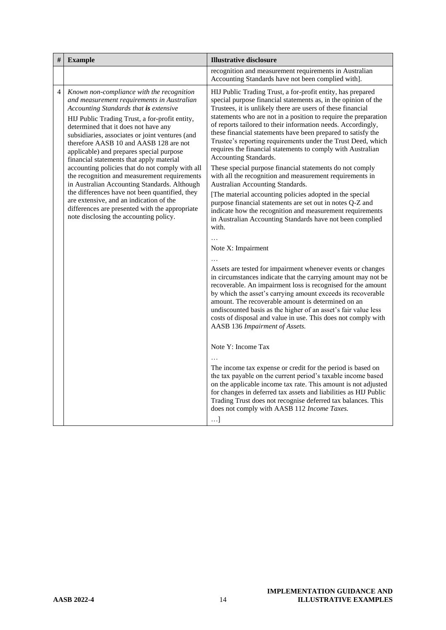| # | <b>Example</b>                                                                                                                                                                                                                                                                                                                                                                                                                                                                                                                                                      | <b>Illustrative disclosure</b>                                                                                                                                                                                                                                                                                                                                                                                                                                                                                                                                                                                                                                                                                      |
|---|---------------------------------------------------------------------------------------------------------------------------------------------------------------------------------------------------------------------------------------------------------------------------------------------------------------------------------------------------------------------------------------------------------------------------------------------------------------------------------------------------------------------------------------------------------------------|---------------------------------------------------------------------------------------------------------------------------------------------------------------------------------------------------------------------------------------------------------------------------------------------------------------------------------------------------------------------------------------------------------------------------------------------------------------------------------------------------------------------------------------------------------------------------------------------------------------------------------------------------------------------------------------------------------------------|
|   |                                                                                                                                                                                                                                                                                                                                                                                                                                                                                                                                                                     | recognition and measurement requirements in Australian<br>Accounting Standards have not been complied with].                                                                                                                                                                                                                                                                                                                                                                                                                                                                                                                                                                                                        |
| 4 | Known non-compliance with the recognition<br>and measurement requirements in Australian<br>Accounting Standards that is extensive<br>HIJ Public Trading Trust, a for-profit entity,<br>determined that it does not have any<br>subsidiaries, associates or joint ventures (and<br>therefore AASB 10 and AASB 128 are not<br>applicable) and prepares special purpose<br>financial statements that apply material<br>accounting policies that do not comply with all<br>the recognition and measurement requirements<br>in Australian Accounting Standards. Although | HIJ Public Trading Trust, a for-profit entity, has prepared<br>special purpose financial statements as, in the opinion of the<br>Trustees, it is unlikely there are users of these financial<br>statements who are not in a position to require the preparation<br>of reports tailored to their information needs. Accordingly,<br>these financial statements have been prepared to satisfy the<br>Trustee's reporting requirements under the Trust Deed, which<br>requires the financial statements to comply with Australian<br>Accounting Standards.<br>These special purpose financial statements do not comply<br>with all the recognition and measurement requirements in<br>Australian Accounting Standards. |
|   | the differences have not been quantified, they<br>are extensive, and an indication of the<br>differences are presented with the appropriate<br>note disclosing the accounting policy.                                                                                                                                                                                                                                                                                                                                                                               | [The material accounting policies adopted in the special<br>purpose financial statements are set out in notes Q-Z and<br>indicate how the recognition and measurement requirements<br>in Australian Accounting Standards have not been complied<br>with.                                                                                                                                                                                                                                                                                                                                                                                                                                                            |
|   |                                                                                                                                                                                                                                                                                                                                                                                                                                                                                                                                                                     | Note X: Impairment                                                                                                                                                                                                                                                                                                                                                                                                                                                                                                                                                                                                                                                                                                  |
|   |                                                                                                                                                                                                                                                                                                                                                                                                                                                                                                                                                                     | Assets are tested for impairment whenever events or changes<br>in circumstances indicate that the carrying amount may not be<br>recoverable. An impairment loss is recognised for the amount<br>by which the asset's carrying amount exceeds its recoverable<br>amount. The recoverable amount is determined on an<br>undiscounted basis as the higher of an asset's fair value less<br>costs of disposal and value in use. This does not comply with<br>AASB 136 Impairment of Assets.                                                                                                                                                                                                                             |
|   |                                                                                                                                                                                                                                                                                                                                                                                                                                                                                                                                                                     | Note Y: Income Tax                                                                                                                                                                                                                                                                                                                                                                                                                                                                                                                                                                                                                                                                                                  |
|   |                                                                                                                                                                                                                                                                                                                                                                                                                                                                                                                                                                     | The income tax expense or credit for the period is based on<br>the tax payable on the current period's taxable income based<br>on the applicable income tax rate. This amount is not adjusted<br>for changes in deferred tax assets and liabilities as HIJ Public<br>Trading Trust does not recognise deferred tax balances. This<br>does not comply with AASB 112 Income Taxes.<br>$\ldots$ ]                                                                                                                                                                                                                                                                                                                      |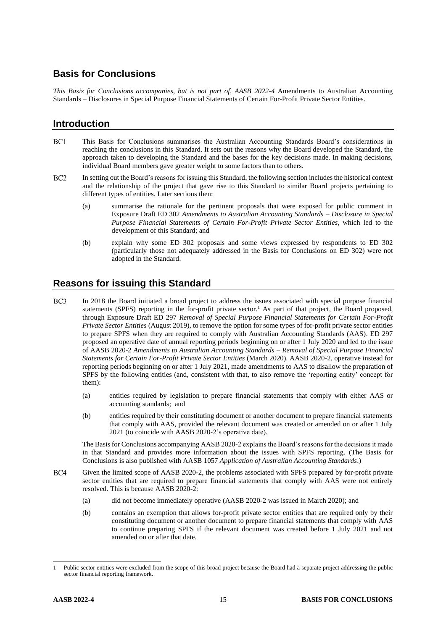# **Basis for Conclusions**

*This Basis for Conclusions accompanies, but is not part of, AASB 2022-4* Amendments to Australian Accounting Standards – Disclosures in Special Purpose Financial Statements of Certain For-Profit Private Sector Entities.

#### **Introduction**

- $BC1$ This Basis for Conclusions summarises the Australian Accounting Standards Board's considerations in reaching the conclusions in this Standard. It sets out the reasons why the Board developed the Standard, the approach taken to developing the Standard and the bases for the key decisions made. In making decisions, individual Board members gave greater weight to some factors than to others.
- $BC2$ In setting out the Board's reasons for issuing this Standard, the following section includes the historical context and the relationship of the project that gave rise to this Standard to similar Board projects pertaining to different types of entities. Later sections then:
	- (a) summarise the rationale for the pertinent proposals that were exposed for public comment in Exposure Draft ED 302 *Amendments to Australian Accounting Standards – Disclosure in Special Purpose Financial Statements of Certain For-Profit Private Sector Entities*, which led to the development of this Standard; and
	- (b) explain why some ED 302 proposals and some views expressed by respondents to ED 302 (particularly those not adequately addressed in the Basis for Conclusions on ED 302) were not adopted in the Standard.

#### **Reasons for issuing this Standard**

- <span id="page-14-0"></span> $BC3$ In 2018 the Board initiated a broad project to address the issues associated with special purpose financial statements (SPFS) reporting in the for-profit private sector.<sup>1</sup> As part of that project, the Board proposed, through Exposure Draft ED 297 *Removal of Special Purpose Financial Statements for Certain For-Profit Private Sector Entities* (August 2019), to remove the option for some types of for-profit private sector entities to prepare SPFS when they are required to comply with Australian Accounting Standards (AAS). ED 297 proposed an operative date of annual reporting periods beginning on or after 1 July 2020 and led to the issue of AASB 2020-2 *Amendments to Australian Accounting Standards – Removal of Special Purpose Financial Statements for Certain For-Profit Private Sector Entities* (March 2020). AASB 2020-2, operative instead for reporting periods beginning on or after 1 July 2021, made amendments to AAS to disallow the preparation of SPFS by the following entities (and, consistent with that, to also remove the 'reporting entity' concept for them):
	- (a) entities required by legislation to prepare financial statements that comply with either AAS or accounting standards; and
	- (b) entities required by their constituting document or another document to prepare financial statements that comply with AAS, provided the relevant document was created or amended on or after 1 July 2021 (to coincide with AASB 2020-2's operative date).

The Basis for Conclusions accompanying AASB 2020-2 explains the Board's reasons for the decisions it made in that Standard and provides more information about the issues with SPFS reporting. (The Basis for Conclusions is also published with AASB 1057 *Application of Australian Accounting Standards*.)

- $BC4$ Given the limited scope of AASB 2020-2, the problems associated with SPFS prepared by for-profit private sector entities that are required to prepare financial statements that comply with AAS were not entirely resolved. This is because AASB 2020-2:
	- (a) did not become immediately operative (AASB 2020-2 was issued in March 2020); and
	- (b) contains an exemption that allows for-profit private sector entities that are required only by their constituting document or another document to prepare financial statements that comply with AAS to continue preparing SPFS if the relevant document was created before 1 July 2021 and not amended on or after that date.

<sup>1</sup> Public sector entities were excluded from the scope of this broad project because the Board had a separate project addressing the public sector financial reporting framework.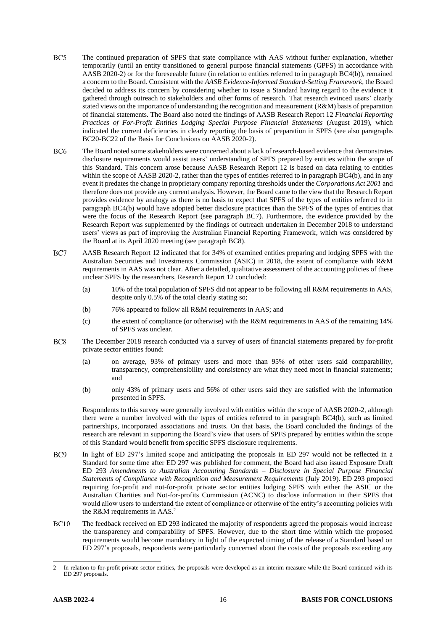- $BC5$ The continued preparation of SPFS that state compliance with AAS without further explanation, whether temporarily (until an entity transitioned to general purpose financial statements (GPFS) in accordance with AASB 2020-2) or for the foreseeable future (in relation to entities referred to in paragraph BC4(b)), remained a concern to the Board. Consistent with the *AASB Evidence-Informed Standard-Setting Framework*, the Board decided to address its concern by considering whether to issue a Standard having regard to the evidence it gathered through outreach to stakeholders and other forms of research. That research evinced users' clearly stated views on the importance of understanding the recognition and measurement (R&M) basis of preparation of financial statements. The Board also noted the findings of AASB Research Report 12 *Financial Reporting Practices of For-Profit Entities Lodging Special Purpose Financial Statements* (August 2019), which indicated the current deficiencies in clearly reporting the basis of preparation in SPFS (see also paragraphs BC20-BC22 of the Basis for Conclusions on AASB 2020-2).
- BC<sub>6</sub> The Board noted some stakeholders were concerned about a lack of research-based evidence that demonstrates disclosure requirements would assist users' understanding of SPFS prepared by entities within the scope of this Standard. This concern arose because AASB Research Report 12 is based on data relating to entities within the scope of AASB 2020-2, rather than the types of entities referred to in paragraph BC4(b), and in any event it predates the change in proprietary company reporting thresholds under the *Corporations Act 2001* and therefore does not provide any current analysis. However, the Board came to the view that the Research Report provides evidence by analogy as there is no basis to expect that SPFS of the types of entities referred to in paragraph BC4(b) would have adopted better disclosure practices than the SPFS of the types of entities that were the focus of the Research Report (see paragraph [BC7\)](#page-15-0). Furthermore, the evidence provided by the Research Report was supplemented by the findings of outreach undertaken in December 2018 to understand users' views as part of improving the Australian Financial Reporting Framework, which was considered by the Board at its April 2020 meeting (see paragraph [BC8\)](#page-15-1).
- <span id="page-15-0"></span>BC7 AASB Research Report 12 indicated that for 34% of examined entities preparing and lodging SPFS with the Australian Securities and Investments Commission (ASIC) in 2018, the extent of compliance with R&M requirements in AAS was not clear. After a detailed, qualitative assessment of the accounting policies of these unclear SPFS by the researchers, Research Report 12 concluded:
	- (a) 10% of the total population of SPFS did not appear to be following all R&M requirements in AAS, despite only 0.5% of the total clearly stating so;
	- (b) 76% appeared to follow all R&M requirements in AAS; and
	- (c) the extent of compliance (or otherwise) with the R&M requirements in AAS of the remaining 14% of SPFS was unclear.
- <span id="page-15-1"></span>BC<sub>8</sub> The December 2018 research conducted via a survey of users of financial statements prepared by for-profit private sector entities found:
	- (a) on average, 93% of primary users and more than 95% of other users said comparability, transparency, comprehensibility and consistency are what they need most in financial statements; and
	- (b) only 43% of primary users and 56% of other users said they are satisfied with the information presented in SPFS.

Respondents to this survey were generally involved with entities within the scope of AASB 2020-2, although there were a number involved with the types of entities referred to in paragraph BC4(b), such as limited partnerships, incorporated associations and trusts. On that basis, the Board concluded the findings of the research are relevant in supporting the Board's view that users of SPFS prepared by entities within the scope of this Standard would benefit from specific SPFS disclosure requirements.

- BC<sub>9</sub> In light of ED 297's limited scope and anticipating the proposals in ED 297 would not be reflected in a Standard for some time after ED 297 was published for comment, the Board had also issued Exposure Draft ED 293 *Amendments to Australian Accounting Standards – Disclosure in Special Purpose Financial Statements of Compliance with Recognition and Measurement Requirements* (July 2019). ED 293 proposed requiring for-profit and not-for-profit private sector entities lodging SPFS with either the ASIC or the Australian Charities and Not-for-profits Commission (ACNC) to disclose information in their SPFS that would allow users to understand the extent of compliance or otherwise of the entity's accounting policies with the R&M requirements in AAS.<sup>2</sup>
- $BC10$ The feedback received on ED 293 indicated the majority of respondents agreed the proposals would increase the transparency and comparability of SPFS. However, due to the short time within which the proposed requirements would become mandatory in light of the expected timing of the release of a Standard based on ED 297's proposals, respondents were particularly concerned about the costs of the proposals exceeding any

<sup>2</sup> In relation to for-profit private sector entities, the proposals were developed as an interim measure while the Board continued with its ED 297 proposals.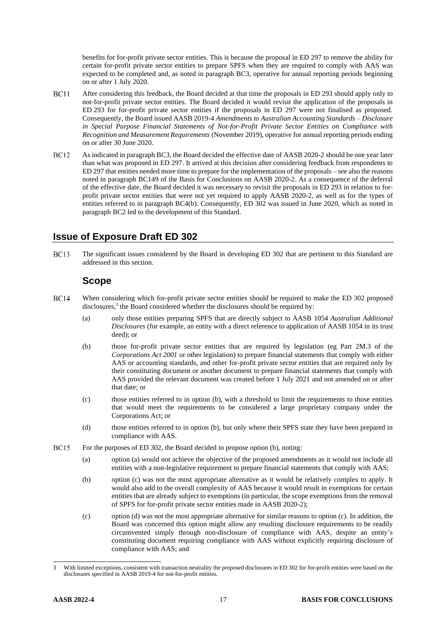benefits for for-profit private sector entities. This is because the proposal in ED 297 to remove the ability for certain for-profit private sector entities to prepare SPFS when they are required to comply with AAS was expected to be completed and, as noted in paragraph BC3, operative for annual reporting periods beginning on or after 1 July 2020.

- **BC11** After considering this feedback, the Board decided at that time the proposals in ED 293 should apply only to not-for-profit private sector entities. The Board decided it would revisit the application of the proposals in ED 293 for for-profit private sector entities if the proposals in ED 297 were not finalised as proposed. Consequently, the Board issued AASB 2019-4 *Amendments to Australian Accounting Standards – Disclosure in Special Purpose Financial Statements of Not-for-Profit Private Sector Entities on Compliance with Recognition and Measurement Requirements* (November 2019), operative for annual reporting periods ending on or after 30 June 2020.
- **BC12** As indicated in paragraph BC3, the Board decided the effective date of AASB 2020-2 should be one year later than what was proposed in ED 297. It arrived at this decision after considering feedback from respondents to ED 297 that entities needed more time to prepare for the implementation of the proposals – see also the reasons noted in paragraph BC149 of the Basis for Conclusions on AASB 2020-2. As a consequence of the deferral of the effective date, the Board decided it was necessary to revisit the proposals in ED 293 in relation to forprofit private sector entities that were not yet required to apply AASB 2020-2, as well as for the types of entities referred to in paragraph BC4(b). Consequently, ED 302 was issued in June 2020, which as noted in paragraph BC2 led to the development of this Standard.

#### **Issue of Exposure Draft ED 302**

**BC13** The significant issues considered by the Board in developing ED 302 that are pertinent to this Standard are addressed in this section.

#### **Scope**

- <span id="page-16-3"></span><span id="page-16-1"></span><span id="page-16-0"></span> $BC14$ When considering which for-profit private sector entities should be required to make the ED 302 proposed disclosures, $3$  the Board considered whether the disclosures should be required by:
	- (a) only those entities preparing SPFS that are directly subject to AASB 1054 *Australian Additional Disclosures* (for example, an entity with a direct reference to application of AASB 1054 in its trust deed); or
	- (b) those for-profit private sector entities that are required by legislation (eg Part 2M.3 of the *Corporations Act 2001* or other legislation) to prepare financial statements that comply with either AAS or accounting standards, and other for-profit private sector entities that are required only by their constituting document or another document to prepare financial statements that comply with AAS provided the relevant document was created before 1 July 2021 and not amended on or after that date; or
	- (c) those entities referred to in option [\(b\),](#page-16-0) with a threshold to limit the requirements to those entities that would meet the requirements to be considered a large proprietary company under the Corporations Act; or
	- (d) those entities referred to in option [\(b\),](#page-16-0) but only where their SPFS state they have been prepared in compliance with AAS.
- <span id="page-16-4"></span><span id="page-16-2"></span> $BC15$ For the purposes of ED 302, the Board decided to propose optio[n \(b\),](#page-16-0) noting:
	- (a) option [\(a\)](#page-16-1) would not achieve the objective of the proposed amendments as it would not include all entities with a non-legislative requirement to prepare financial statements that comply with AAS;
	- (b) option [\(c\)](#page-16-2) was not the most appropriate alternative as it would be relatively complex to apply. It would also add to the overall complexity of AAS because it would result in exemptions for certain entities that are already subject to exemptions (in particular, the scope exemptions from the removal of SPFS for for-profit private sector entities made in AASB 2020-2);
	- (c) option (d) was not the most appropriate alternative for similar reasons to option (c). In addition, the Board was concerned this option might allow any resulting disclosure requirements to be readily circumvented simply through non-disclosure of compliance with AAS, despite an entity's constituting document requiring compliance with AAS without explicitly requiring disclosure of compliance with AAS; and

<sup>3</sup> With limited exceptions, consistent with transaction neutrality the proposed disclosures in ED 302 for for-profit entities were based on the disclosures specified in AASB 2019-4 for not-for-profit entities.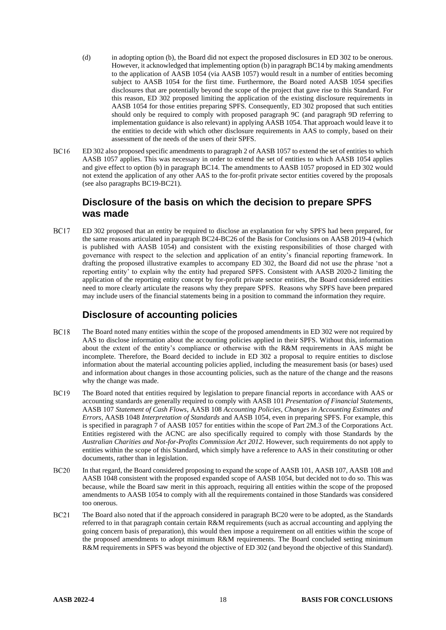- (d) in adopting option (b), the Board did not expect the proposed disclosures in ED 302 to be onerous. However, it acknowledged that implementing option (b) in paragrap[h BC14](#page-16-3) by making amendments to the application of AASB 1054 (via AASB 1057) would result in a number of entities becoming subject to AASB 1054 for the first time. Furthermore, the Board noted AASB 1054 specifies disclosures that are potentially beyond the scope of the project that gave rise to this Standard. For this reason, ED 302 proposed limiting the application of the existing disclosure requirements in AASB 1054 for those entities preparing SPFS. Consequently, ED 302 proposed that such entities should only be required to comply with proposed paragraph 9C (and paragraph 9D referring to implementation guidance is also relevant) in applying AASB 1054. That approach would leave it to the entities to decide with which other disclosure requirements in AAS to comply, based on their assessment of the needs of the users of their SPFS.
- **BC16** ED 302 also proposed specific amendments to paragraph 2 of AASB 1057 to extend the set of entities to which AASB 1057 applies. This was necessary in order to extend the set of entities to which AASB 1054 applies and give effect to option (b) in paragraph [BC14.](#page-16-3) The amendments to AASB 1057 proposed in ED 302 would not extend the application of any other AAS to the for-profit private sector entities covered by the proposals (see also paragraph[s BC19](#page-17-0)[-BC21\)](#page-17-1).

#### **Disclosure of the basis on which the decision to prepare SPFS was made**

**BC17** ED 302 proposed that an entity be required to disclose an explanation for why SPFS had been prepared, for the same reasons articulated in paragraph BC24-BC26 of the Basis for Conclusions on AASB 2019-4 (which is published with AASB 1054) and consistent with the existing responsibilities of those charged with governance with respect to the selection and application of an entity's financial reporting framework. In drafting the proposed illustrative examples to accompany ED 302, the Board did not use the phrase 'not a reporting entity' to explain why the entity had prepared SPFS. Consistent with AASB 2020-2 limiting the application of the reporting entity concept by for-profit private sector entities, the Board considered entities need to more clearly articulate the reasons why they prepare SPFS. Reasons why SPFS have been prepared may include users of the financial statements being in a position to command the information they require.

#### **Disclosure of accounting policies**

- **BC18** The Board noted many entities within the scope of the proposed amendments in ED 302 were not required by AAS to disclose information about the accounting policies applied in their SPFS. Without this, information about the extent of the entity's compliance or otherwise with the R&M requirements in AAS might be incomplete. Therefore, the Board decided to include in ED 302 a proposal to require entities to disclose information about the material accounting policies applied, including the measurement basis (or bases) used and information about changes in those accounting policies, such as the nature of the change and the reasons why the change was made.
- <span id="page-17-0"></span>**BC19** The Board noted that entities required by legislation to prepare financial reports in accordance with AAS or accounting standards are generally required to comply with AASB 101 *Presentation of Financial Statements*, AASB 107 *Statement of Cash Flows*, AASB 108 *Accounting Policies, Changes in Accounting Estimates and Errors*, AASB 1048 *Interpretation of Standards* and AASB 1054, even in preparing SPFS. For example, this is specified in paragraph 7 of AASB 1057 for entities within the scope of Part 2M.3 of the Corporations Act. Entities registered with the ACNC are also specifically required to comply with those Standards by the *Australian Charities and Not-for-Profits Commission Act 2012*. However, such requirements do not apply to entities within the scope of this Standard, which simply have a reference to AAS in their constituting or other documents, rather than in legislation.
- <span id="page-17-2"></span>**BC20** In that regard, the Board considered proposing to expand the scope of AASB 101, AASB 107, AASB 108 and AASB 1048 consistent with the proposed expanded scope of AASB 1054, but decided not to do so. This was because, while the Board saw merit in this approach, requiring all entities within the scope of the proposed amendments to AASB 1054 to comply with all the requirements contained in those Standards was considered too onerous.
- <span id="page-17-1"></span> $BC21$ The Board also noted that if the approach considered in paragrap[h BC20](#page-17-2) were to be adopted, as the Standards referred to in that paragraph contain certain R&M requirements (such as accrual accounting and applying the going concern basis of preparation), this would then impose a requirement on all entities within the scope of the proposed amendments to adopt minimum R&M requirements. The Board concluded setting minimum R&M requirements in SPFS was beyond the objective of ED 302 (and beyond the objective of this Standard).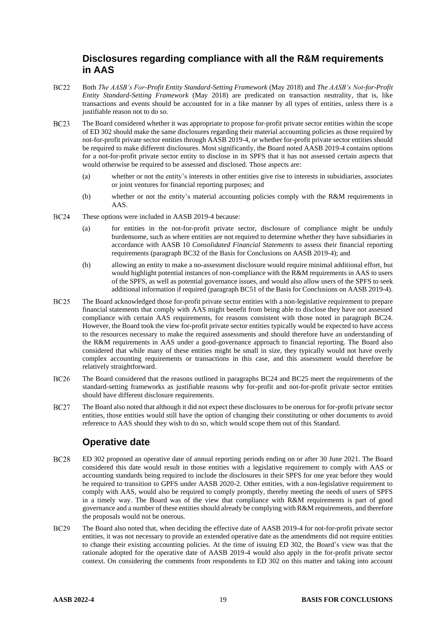#### **Disclosures regarding compliance with all the R&M requirements in AAS**

- **BC22** Both *The AASB's For-Profit Entity Standard-Setting Framework* (May 2018) and *The AASB's Not-for-Profit Entity Standard-Setting Framework* (May 2018) are predicated on transaction neutrality, that is, like transactions and events should be accounted for in a like manner by all types of entities, unless there is a justifiable reason not to do so.
- $BC23$ The Board considered whether it was appropriate to propose for-profit private sector entities within the scope of ED 302 should make the same disclosures regarding their material accounting policies as those required by not-for-profit private sector entities through AASB 2019-4, or whether for-profit private sector entities should be required to make different disclosures. Most significantly, the Board noted AASB 2019-4 contains options for a not-for-profit private sector entity to disclose in its SPFS that it has not assessed certain aspects that would otherwise be required to be assessed and disclosed. Those aspects are:
	- (a) whether or not the entity's interests in other entities give rise to interests in subsidiaries, associates or joint ventures for financial reporting purposes; and
	- (b) whether or not the entity's material accounting policies comply with the R&M requirements in AAS.
- <span id="page-18-0"></span>**BC24** These options were included in AASB 2019-4 because:
	- (a) for entities in the not-for-profit private sector, disclosure of compliance might be unduly burdensome, such as where entities are not required to determine whether they have subsidiaries in accordance with AASB 10 *Consolidated Financial Statements* to assess their financial reporting requirements (paragraph BC32 of the Basis for Conclusions on AASB 2019-4); and
	- (b) allowing an entity to make a no-assessment disclosure would require minimal additional effort, but would highlight potential instances of non-compliance with the R&M requirements in AAS to users of the SPFS, as well as potential governance issues, and would also allow users of the SPFS to seek additional information if required (paragraph BC51 of the Basis for Conclusions on AASB 2019-4).
- <span id="page-18-1"></span>**BC25** The Board acknowledged those for-profit private sector entities with a non-legislative requirement to prepare financial statements that comply with AAS might benefit from being able to disclose they have not assessed compliance with certain AAS requirements, for reasons consistent with those noted in paragraph [BC24.](#page-18-0) However, the Board took the view for-profit private sector entities typically would be expected to have access to the resources necessary to make the required assessments and should therefore have an understanding of the R&M requirements in AAS under a good-governance approach to financial reporting. The Board also considered that while many of these entities might be small in size, they typically would not have overly complex accounting requirements or transactions in this case, and this assessment would therefore be relatively straightforward.
- **BC26** The Board considered that the reasons outlined in paragraphs [BC24](#page-18-0) and [BC25](#page-18-1) meet the requirements of the standard-setting frameworks as justifiable reasons why for-profit and not-for-profit private sector entities should have different disclosure requirements.
- <span id="page-18-2"></span>**BC27** The Board also noted that although it did not expect these disclosures to be onerous for for-profit private sector entities, those entities would still have the option of changing their constituting or other documents to avoid reference to AAS should they wish to do so, which would scope them out of this Standard.

# **Operative date**

- **BC28** ED 302 proposed an operative date of annual reporting periods ending on or after 30 June 2021. The Board considered this date would result in those entities with a legislative requirement to comply with AAS or accounting standards being required to include the disclosures in their SPFS for one year before they would be required to transition to GPFS under AASB 2020-2. Other entities, with a non-legislative requirement to comply with AAS, would also be required to comply promptly, thereby meeting the needs of users of SPFS in a timely way. The Board was of the view that compliance with R&M requirements is part of good governance and a number of these entities should already be complying with R&M requirements, and therefore the proposals would not be onerous.
- **BC29** The Board also noted that, when deciding the effective date of AASB 2019-4 for not-for-profit private sector entities, it was not necessary to provide an extended operative date as the amendments did not require entities to change their existing accounting policies. At the time of issuing ED 302, the Board's view was that the rationale adopted for the operative date of AASB 2019-4 would also apply in the for-profit private sector context. On considering the comments from respondents to ED 302 on this matter and taking into account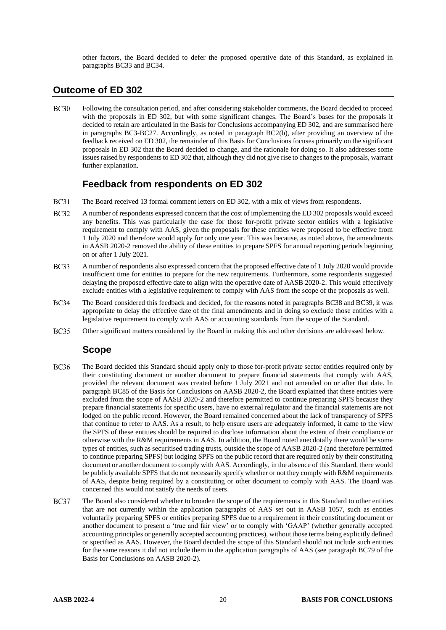other factors, the Board decided to defer the proposed operative date of this Standard, as explained in paragraphs [BC33](#page-19-0) an[d BC34.](#page-19-1)

#### **Outcome of ED 302**

**BC30** Following the consultation period, and after considering stakeholder comments, the Board decided to proceed with the proposals in ED 302, but with some significant changes. The Board's bases for the proposals it decided to retain are articulated in the Basis for Conclusions accompanying ED 302, and are summarised here in paragraphs [BC3](#page-14-0)[-BC27.](#page-18-2) Accordingly, as noted in paragraph BC2(b), after providing an overview of the feedback received on ED 302, the remainder of this Basis for Conclusions focuses primarily on the significant proposals in ED 302 that the Board decided to change, and the rationale for doing so. It also addresses some issues raised by respondents to ED 302 that, although they did not give rise to changes to the proposals, warrant further explanation.

#### **Feedback from respondents on ED 302**

- $BC31$ The Board received 13 formal comment letters on ED 302, with a mix of views from respondents.
- **BC32** A number of respondents expressed concern that the cost of implementing the ED 302 proposals would exceed any benefits. This was particularly the case for those for-profit private sector entities with a legislative requirement to comply with AAS, given the proposals for these entities were proposed to be effective from 1 July 2020 and therefore would apply for only one year. This was because, as noted above, the amendments in AASB 2020-2 removed the ability of these entities to prepare SPFS for annual reporting periods beginning on or after 1 July 2021.
- <span id="page-19-0"></span>**BC33** A number of respondents also expressed concern that the proposed effective date of 1 July 2020 would provide insufficient time for entities to prepare for the new requirements. Furthermore, some respondents suggested delaying the proposed effective date to align with the operative date of AASB 2020-2. This would effectively exclude entities with a legislative requirement to comply with AAS from the scope of the proposals as well.
- <span id="page-19-1"></span>**BC34** The Board considered this feedback and decided, for the reasons noted in paragraphs [BC38](#page-20-0) and [BC39,](#page-20-1) it was appropriate to delay the effective date of the final amendments and in doing so exclude those entities with a legislative requirement to comply with AAS or accounting standards from the scope of the Standard.
- **BC35** Other significant matters considered by the Board in making this and other decisions are addressed below.

#### **Scope**

- **BC36** The Board decided this Standard should apply only to those for-profit private sector entities required only by their constituting document or another document to prepare financial statements that comply with AAS, provided the relevant document was created before 1 July 2021 and not amended on or after that date. In paragraph BC85 of the Basis for Conclusions on AASB 2020-2, the Board explained that these entities were excluded from the scope of AASB 2020-2 and therefore permitted to continue preparing SPFS because they prepare financial statements for specific users, have no external regulator and the financial statements are not lodged on the public record. However, the Board remained concerned about the lack of transparency of SPFS that continue to refer to AAS. As a result, to help ensure users are adequately informed, it came to the view the SPFS of these entities should be required to disclose information about the extent of their compliance or otherwise with the R&M requirements in AAS. In addition, the Board noted anecdotally there would be some types of entities, such as securitised trading trusts, outside the scope of AASB 2020-2 (and therefore permitted to continue preparing SPFS) but lodging SPFS on the public record that are required only by their constituting document or another document to comply with AAS. Accordingly, in the absence of this Standard, there would be publicly available SPFS that do not necessarily specify whether or not they comply with R&M requirements of AAS, despite being required by a constituting or other document to comply with AAS. The Board was concerned this would not satisfy the needs of users.
- **BC37** The Board also considered whether to broaden the scope of the requirements in this Standard to other entities that are not currently within the application paragraphs of AAS set out in AASB 1057, such as entities voluntarily preparing SPFS or entities preparing SPFS due to a requirement in their constituting document or another document to present a 'true and fair view' or to comply with 'GAAP' (whether generally accepted accounting principles or generally accepted accounting practices), without those terms being explicitly defined or specified as AAS. However, the Board decided the scope of this Standard should not include such entities for the same reasons it did not include them in the application paragraphs of AAS (see paragraph BC79 of the Basis for Conclusions on AASB 2020-2).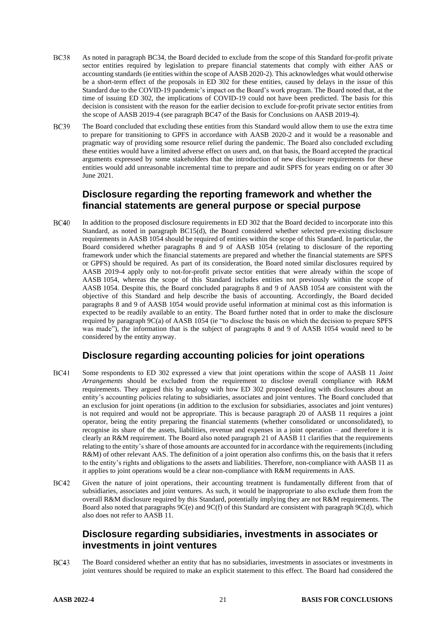- <span id="page-20-0"></span>**BC38** As noted in paragraph [BC34,](#page-19-1) the Board decided to exclude from the scope of this Standard for-profit private sector entities required by legislation to prepare financial statements that comply with either AAS or accounting standards (ie entities within the scope of AASB 2020-2). This acknowledges what would otherwise be a short-term effect of the proposals in ED 302 for these entities, caused by delays in the issue of this Standard due to the COVID-19 pandemic's impact on the Board's work program. The Board noted that, at the time of issuing ED 302, the implications of COVID-19 could not have been predicted. The basis for this decision is consistent with the reason for the earlier decision to exclude for-profit private sector entities from the scope of AASB 2019-4 (see paragraph BC47 of the Basis for Conclusions on AASB 2019-4).
- **BC39** The Board concluded that excluding these entities from this Standard would allow them to use the extra time to prepare for transitioning to GPFS in accordance with AASB 2020-2 and it would be a reasonable and pragmatic way of providing some resource relief during the pandemic. The Board also concluded excluding these entities would have a limited adverse effect on users and, on that basis, the Board accepted the practical arguments expressed by some stakeholders that the introduction of new disclosure requirements for these entities would add unreasonable incremental time to prepare and audit SPFS for years ending on or after 30 June 2021.

#### <span id="page-20-1"></span>**Disclosure regarding the reporting framework and whether the financial statements are general purpose or special purpose**

**BC40** In addition to the proposed disclosure requirements in ED 302 that the Board decided to incorporate into this Standard, as noted in paragraph [BC15\(](#page-16-4)d), the Board considered whether selected pre-existing disclosure requirements in AASB 1054 should be required of entities within the scope of this Standard. In particular, the Board considered whether paragraphs 8 and 9 of AASB 1054 (relating to disclosure of the reporting framework under which the financial statements are prepared and whether the financial statements are SPFS or GPFS) should be required. As part of its consideration, the Board noted similar disclosures required by AASB 2019-4 apply only to not-for-profit private sector entities that were already within the scope of AASB 1054, whereas the scope of this Standard includes entities not previously within the scope of AASB 1054. Despite this, the Board concluded paragraphs 8 and 9 of AASB 1054 are consistent with the objective of this Standard and help describe the basis of accounting. Accordingly, the Board decided paragraphs 8 and 9 of AASB 1054 would provide useful information at minimal cost as this information is expected to be readily available to an entity. The Board further noted that in order to make the disclosure required by paragraph 9C(a) of AASB 1054 (ie "to disclose the basis on which the decision to prepare SPFS was made"), the information that is the subject of paragraphs 8 and 9 of AASB 1054 would need to be considered by the entity anyway.

#### **Disclosure regarding accounting policies for joint operations**

- **BC41** Some respondents to ED 302 expressed a view that joint operations within the scope of AASB 11 *Joint Arrangements* should be excluded from the requirement to disclose overall compliance with R&M requirements. They argued this by analogy with how ED 302 proposed dealing with disclosures about an entity's accounting policies relating to subsidiaries, associates and joint ventures. The Board concluded that an exclusion for joint operations (in addition to the exclusion for subsidiaries, associates and joint ventures) is not required and would not be appropriate. This is because paragraph 20 of AASB 11 requires a joint operator, being the entity preparing the financial statements (whether consolidated or unconsolidated), to recognise its share of the assets, liabilities, revenue and expenses in a joint operation – and therefore it is clearly an R&M requirement. The Board also noted paragraph 21 of AASB 11 clarifies that the requirements relating to the entity's share of those amounts are accounted for in accordance with the requirements (including R&M) of other relevant AAS. The definition of a joint operation also confirms this, on the basis that it refers to the entity's rights and obligations to the assets and liabilities. Therefore, non-compliance with AASB 11 as it applies to joint operations would be a clear non-compliance with R&M requirements in AAS.
- **BC42** Given the nature of joint operations, their accounting treatment is fundamentally different from that of subsidiaries, associates and joint ventures. As such, it would be inappropriate to also exclude them from the overall R&M disclosure required by this Standard, potentially implying they are not R&M requirements. The Board also noted that paragraphs 9C(e) and 9C(f) of this Standard are consistent with paragraph 9C(d), which also does not refer to AASB 11.

#### **Disclosure regarding subsidiaries, investments in associates or investments in joint ventures**

**BC43** The Board considered whether an entity that has no subsidiaries, investments in associates or investments in joint ventures should be required to make an explicit statement to this effect. The Board had considered the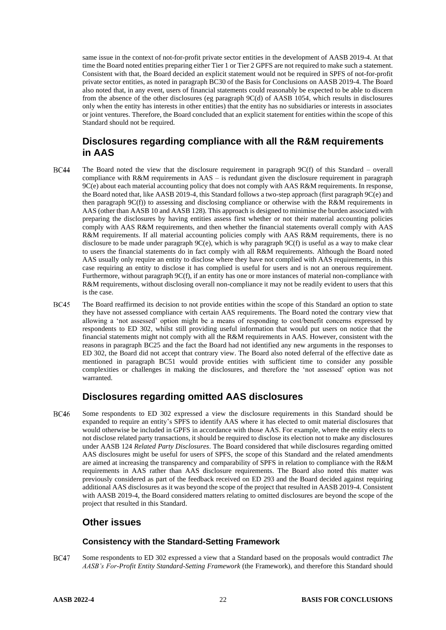same issue in the context of not-for-profit private sector entities in the development of AASB 2019-4. At that time the Board noted entities preparing either Tier 1 or Tier 2 GPFS are not required to make such a statement. Consistent with that, the Board decided an explicit statement would not be required in SPFS of not-for-profit private sector entities, as noted in paragraph BC30 of the Basis for Conclusions on AASB 2019-4. The Board also noted that, in any event, users of financial statements could reasonably be expected to be able to discern from the absence of the other disclosures (eg paragraph 9C(d) of AASB 1054, which results in disclosures only when the entity has interests in other entities) that the entity has no subsidiaries or interests in associates or joint ventures. Therefore, the Board concluded that an explicit statement for entities within the scope of this Standard should not be required.

#### **Disclosures regarding compliance with all the R&M requirements in AAS**

- **BC44** The Board noted the view that the disclosure requirement in paragraph 9C(f) of this Standard – overall compliance with R&M requirements in AAS – is redundant given the disclosure requirement in paragraph 9C(e) about each material accounting policy that does not comply with AAS R&M requirements. In response, the Board noted that, like AASB 2019-4, this Standard follows a two-step approach (first paragraph 9C(e) and then paragraph 9C(f)) to assessing and disclosing compliance or otherwise with the R&M requirements in AAS (other than AASB 10 and AASB 128). This approach is designed to minimise the burden associated with preparing the disclosures by having entities assess first whether or not their material accounting policies comply with AAS R&M requirements, and then whether the financial statements overall comply with AAS R&M requirements. If all material accounting policies comply with AAS R&M requirements, there is no disclosure to be made under paragraph 9C(e), which is why paragraph 9C(f) is useful as a way to make clear to users the financial statements do in fact comply with all R&M requirements. Although the Board noted AAS usually only require an entity to disclose where they have not complied with AAS requirements, in this case requiring an entity to disclose it has complied is useful for users and is not an onerous requirement. Furthermore, without paragraph 9C(f), if an entity has one or more instances of material non-compliance with R&M requirements, without disclosing overall non-compliance it may not be readily evident to users that this is the case.
- **BC45** The Board reaffirmed its decision to not provide entities within the scope of this Standard an option to state they have not assessed compliance with certain AAS requirements. The Board noted the contrary view that allowing a 'not assessed' option might be a means of responding to cost/benefit concerns expressed by respondents to ED 302, whilst still providing useful information that would put users on notice that the financial statements might not comply with all the R&M requirements in AAS. However, consistent with the reasons in paragraph [BC25](#page-18-1) and the fact the Board had not identified any new arguments in the responses to ED 302, the Board did not accept that contrary view. The Board also noted deferral of the effective date as mentioned in paragraph [BC51](#page-22-0) would provide entities with sufficient time to consider any possible complexities or challenges in making the disclosures, and therefore the 'not assessed' option was not warranted.

#### **Disclosures regarding omitted AAS disclosures**

**BC46** Some respondents to ED 302 expressed a view the disclosure requirements in this Standard should be expanded to require an entity's SPFS to identify AAS where it has elected to omit material disclosures that would otherwise be included in GPFS in accordance with those AAS. For example, where the entity elects to not disclose related party transactions, it should be required to disclose its election not to make any disclosures under AASB 124 *Related Party Disclosures*. The Board considered that while disclosures regarding omitted AAS disclosures might be useful for users of SPFS, the scope of this Standard and the related amendments are aimed at increasing the transparency and comparability of SPFS in relation to compliance with the R&M requirements in AAS rather than AAS disclosure requirements. The Board also noted this matter was previously considered as part of the feedback received on ED 293 and the Board decided against requiring additional AAS disclosures as it was beyond the scope of the project that resulted in AASB 2019-4. Consistent with AASB 2019-4, the Board considered matters relating to omitted disclosures are beyond the scope of the project that resulted in this Standard.

#### **Other issues**

#### **Consistency with the Standard-Setting Framework**

**BC47** Some respondents to ED 302 expressed a view that a Standard based on the proposals would contradict *The AASB's For-Profit Entity Standard-Setting Framework* (the Framework), and therefore this Standard should